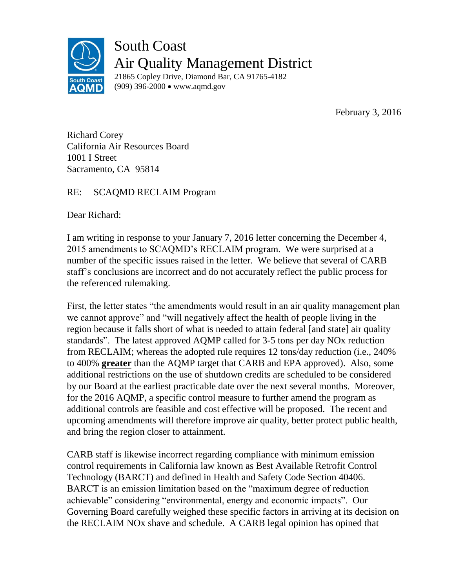

February 3, 2016

Richard Corey California Air Resources Board 1001 I Street Sacramento, CA 95814

RE: SCAQMD RECLAIM Program

Dear Richard:

I am writing in response to your January 7, 2016 letter concerning the December 4, 2015 amendments to SCAQMD's RECLAIM program. We were surprised at a number of the specific issues raised in the letter. We believe that several of CARB staff's conclusions are incorrect and do not accurately reflect the public process for the referenced rulemaking.

First, the letter states "the amendments would result in an air quality management plan we cannot approve" and "will negatively affect the health of people living in the region because it falls short of what is needed to attain federal [and state] air quality standards". The latest approved AQMP called for 3-5 tons per day NOx reduction from RECLAIM; whereas the adopted rule requires 12 tons/day reduction (i.e., 240% to 400% **greater** than the AQMP target that CARB and EPA approved). Also, some additional restrictions on the use of shutdown credits are scheduled to be considered by our Board at the earliest practicable date over the next several months. Moreover, for the 2016 AQMP, a specific control measure to further amend the program as additional controls are feasible and cost effective will be proposed. The recent and upcoming amendments will therefore improve air quality, better protect public health, and bring the region closer to attainment.

CARB staff is likewise incorrect regarding compliance with minimum emission control requirements in California law known as Best Available Retrofit Control Technology (BARCT) and defined in Health and Safety Code Section 40406. BARCT is an emission limitation based on the "maximum degree of reduction achievable" considering "environmental, energy and economic impacts". Our Governing Board carefully weighed these specific factors in arriving at its decision on the RECLAIM NOx shave and schedule. A CARB legal opinion has opined that